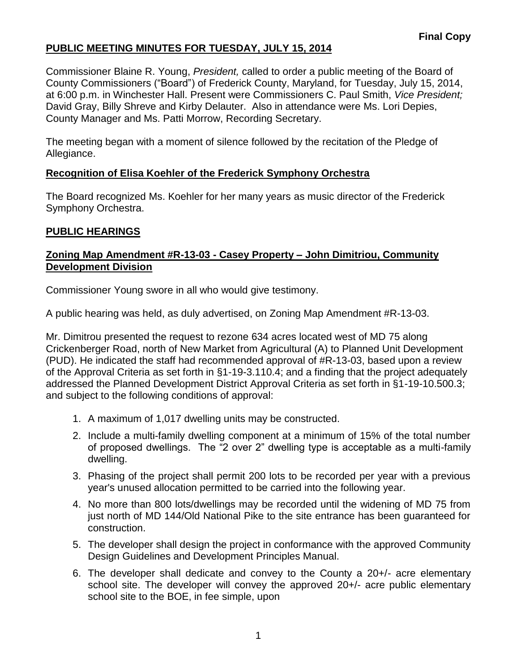Commissioner Blaine R. Young, *President,* called to order a public meeting of the Board of County Commissioners ("Board") of Frederick County, Maryland, for Tuesday, July 15, 2014, at 6:00 p.m. in Winchester Hall. Present were Commissioners C. Paul Smith, *Vice President;* David Gray, Billy Shreve and Kirby Delauter. Also in attendance were Ms. Lori Depies, County Manager and Ms. Patti Morrow, Recording Secretary.

The meeting began with a moment of silence followed by the recitation of the Pledge of Allegiance.

#### **Recognition of Elisa Koehler of the Frederick Symphony Orchestra**

The Board recognized Ms. Koehler for her many years as music director of the Frederick Symphony Orchestra.

#### **PUBLIC HEARINGS**

### **Zoning Map Amendment #R-13-03 - Casey Property – John Dimitriou, Community Development Division**

Commissioner Young swore in all who would give testimony.

A public hearing was held, as duly advertised, on Zoning Map Amendment #R-13-03.

Mr. Dimitrou presented the request to rezone 634 acres located west of MD 75 along Crickenberger Road, north of New Market from Agricultural (A) to Planned Unit Development (PUD). He indicated the staff had recommended approval of #R-13-03, based upon a review of the Approval Criteria as set forth in §1-19-3.110.4; and a finding that the project adequately addressed the Planned Development District Approval Criteria as set forth in §1-19-10.500.3; and subject to the following conditions of approval:

- 1. A maximum of 1,017 dwelling units may be constructed.
- 2. Include a multi-family dwelling component at a minimum of 15% of the total number of proposed dwellings. The "2 over 2" dwelling type is acceptable as a multi-family dwelling.
- 3. Phasing of the project shall permit 200 lots to be recorded per year with a previous year's unused allocation permitted to be carried into the following year.
- 4. No more than 800 lots/dwellings may be recorded until the widening of MD 75 from just north of MD 144/Old National Pike to the site entrance has been guaranteed for construction.
- 5. The developer shall design the project in conformance with the approved Community Design Guidelines and Development Principles Manual.
- 6. The developer shall dedicate and convey to the County a 20+/- acre elementary school site. The developer will convey the approved 20+/- acre public elementary school site to the BOE, in fee simple, upon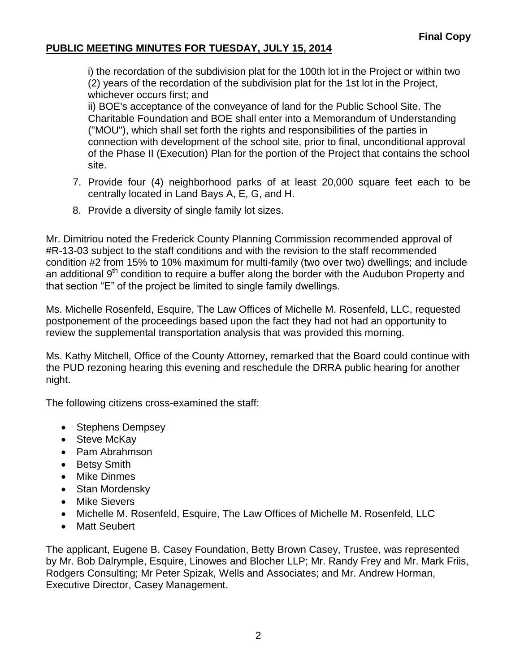i) the recordation of the subdivision plat for the 100th lot in the Project or within two (2) years of the recordation of the subdivision plat for the 1st lot in the Project, whichever occurs first; and

ii) BOE's acceptance of the conveyance of land for the Public School Site. The Charitable Foundation and BOE shall enter into a Memorandum of Understanding ("MOU"), which shall set forth the rights and responsibilities of the parties in connection with development of the school site, prior to final, unconditional approval of the Phase II (Execution) Plan for the portion of the Project that contains the school site.

- 7. Provide four (4) neighborhood parks of at least 20,000 square feet each to be centrally located in Land Bays A, E, G, and H.
- 8. Provide a diversity of single family lot sizes.

Mr. Dimitriou noted the Frederick County Planning Commission recommended approval of #R-13-03 subject to the staff conditions and with the revision to the staff recommended condition #2 from 15% to 10% maximum for multi-family (two over two) dwellings; and include an additional 9<sup>th</sup> condition to require a buffer along the border with the Audubon Property and that section "E" of the project be limited to single family dwellings.

Ms. Michelle Rosenfeld, Esquire, The Law Offices of Michelle M. Rosenfeld, LLC, requested postponement of the proceedings based upon the fact they had not had an opportunity to review the supplemental transportation analysis that was provided this morning.

Ms. Kathy Mitchell, Office of the County Attorney, remarked that the Board could continue with the PUD rezoning hearing this evening and reschedule the DRRA public hearing for another night.

The following citizens cross-examined the staff:

- Stephens Dempsey
- Steve McKav
- Pam Abrahmson
- Betsy Smith
- Mike Dinmes
- Stan Mordensky
- Mike Sievers
- Michelle M. Rosenfeld, Esquire, The Law Offices of Michelle M. Rosenfeld, LLC
- Matt Seubert

The applicant, Eugene B. Casey Foundation, Betty Brown Casey, Trustee, was represented by Mr. Bob Dalrymple, Esquire, Linowes and Blocher LLP; Mr. Randy Frey and Mr. Mark Friis, Rodgers Consulting; Mr Peter Spizak, Wells and Associates; and Mr. Andrew Horman, Executive Director, Casey Management.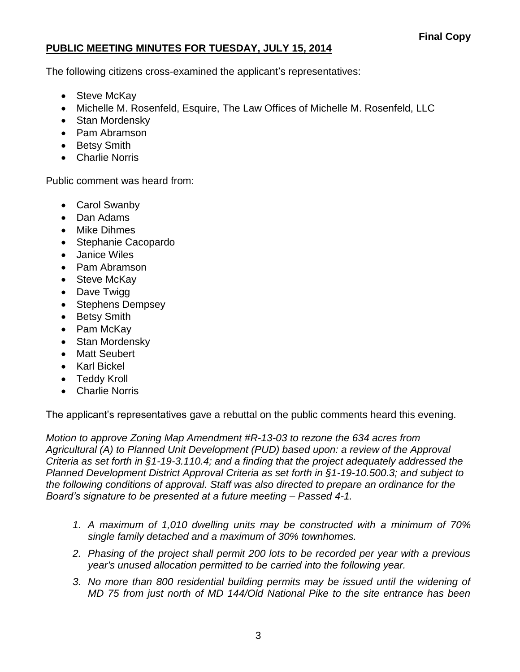The following citizens cross-examined the applicant's representatives:

- Steve McKay
- Michelle M. Rosenfeld, Esquire, The Law Offices of Michelle M. Rosenfeld, LLC
- Stan Mordensky
- Pam Abramson
- Betsy Smith
- Charlie Norris

Public comment was heard from:

- Carol Swanby
- Dan Adams
- Mike Dihmes
- Stephanie Cacopardo
- Janice Wiles
- Pam Abramson
- Steve McKav
- Dave Twigg
- Stephens Dempsey
- Betsy Smith
- Pam McKay
- Stan Mordensky
- Matt Seubert
- Karl Bickel
- Teddy Kroll
- Charlie Norris

The applicant's representatives gave a rebuttal on the public comments heard this evening.

*Motion to approve Zoning Map Amendment #R-13-03 to rezone the 634 acres from Agricultural (A) to Planned Unit Development (PUD) based upon: a review of the Approval Criteria as set forth in §1-19-3.110.4; and a finding that the project adequately addressed the Planned Development District Approval Criteria as set forth in §1-19-10.500.3; and subject to the following conditions of approval. Staff was also directed to prepare an ordinance for the Board's signature to be presented at a future meeting – Passed 4-1.*

- *1. A maximum of 1,010 dwelling units may be constructed with a minimum of 70% single family detached and a maximum of 30% townhomes.*
- *2. Phasing of the project shall permit 200 lots to be recorded per year with a previous year's unused allocation permitted to be carried into the following year.*
- *3. No more than 800 residential building permits may be issued until the widening of MD 75 from just north of MD 144/Old National Pike to the site entrance has been*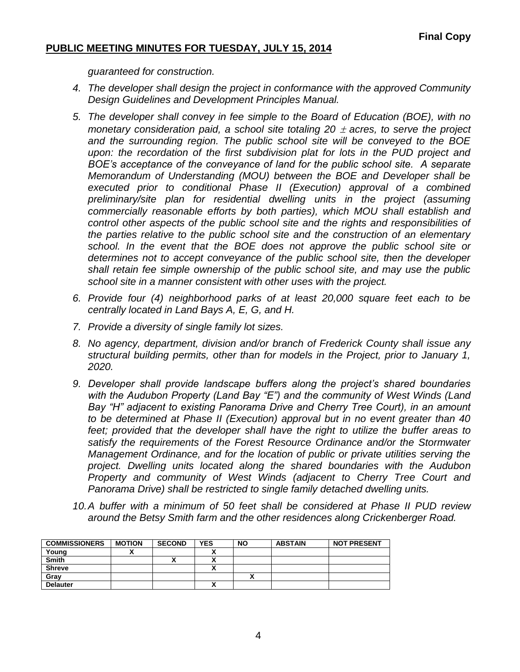*guaranteed for construction.*

- *4. The developer shall design the project in conformance with the approved Community Design Guidelines and Development Principles Manual.*
- *5. The developer shall convey in fee simple to the Board of Education (BOE), with no monetary consideration paid, a school site totaling 20*  $\pm$  *acres, to serve the project and the surrounding region. The public school site will be conveyed to the BOE*  upon: the recordation of the first subdivision plat for lots in the PUD project and *BOE's acceptance of the conveyance of land for the public school site. A separate Memorandum of Understanding (MOU) between the BOE and Developer shall be executed prior to conditional Phase II (Execution) approval of a combined preliminary/site plan for residential dwelling units in the project (assuming commercially reasonable efforts by both parties), which MOU shall establish and control other aspects of the public school site and the rights and responsibilities of the parties relative to the public school site and the construction of an elementary school. In the event that the BOE does not approve the public school site or determines not to accept conveyance of the public school site, then the developer shall retain fee simple ownership of the public school site, and may use the public school site in a manner consistent with other uses with the project.*
- *6. Provide four (4) neighborhood parks of at least 20,000 square feet each to be centrally located in Land Bays A, E, G, and H.*
- *7. Provide a diversity of single family lot sizes.*
- *8. No agency, department, division and/or branch of Frederick County shall issue any structural building permits, other than for models in the Project, prior to January 1, 2020.*
- *9. Developer shall provide landscape buffers along the project's shared boundaries with the Audubon Property (Land Bay "E") and the community of West Winds (Land Bay "H" adjacent to existing Panorama Drive and Cherry Tree Court), in an amount to be determined at Phase II (Execution) approval but in no event greater than 40*  feet; provided that the developer shall have the right to utilize the buffer areas to *satisfy the requirements of the Forest Resource Ordinance and/or the Stormwater Management Ordinance, and for the location of public or private utilities serving the project. Dwelling units located along the shared boundaries with the Audubon Property and community of West Winds (adjacent to Cherry Tree Court and Panorama Drive) shall be restricted to single family detached dwelling units.*
- *10.A buffer with a minimum of 50 feet shall be considered at Phase II PUD review around the Betsy Smith farm and the other residences along Crickenberger Road.*

| <b>COMMISSIONERS</b> | <b>MOTION</b> | <b>SECOND</b> | <b>YES</b> | <b>NO</b> | <b>ABSTAIN</b> | <b>NOT PRESENT</b> |
|----------------------|---------------|---------------|------------|-----------|----------------|--------------------|
| Young                |               |               |            |           |                |                    |
| <b>Smith</b>         |               | ↗             |            |           |                |                    |
| <b>Shreve</b>        |               |               |            |           |                |                    |
| Grav                 |               |               |            |           |                |                    |
| <b>Delauter</b>      |               |               |            |           |                |                    |